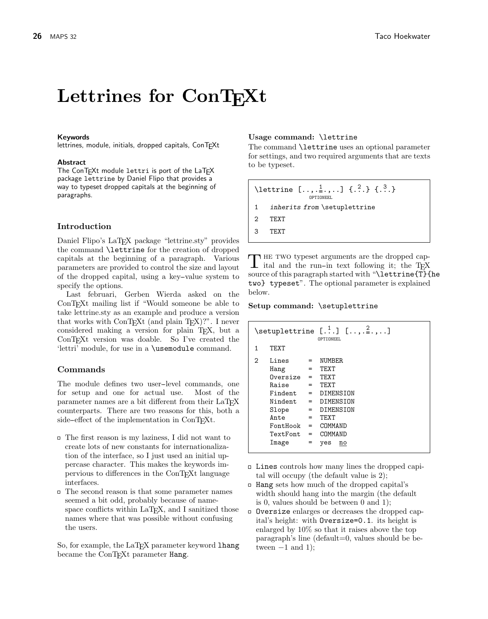# Lettrines for ConT<sub>F</sub>Xt

#### Keywords

lettrines, module, initials, dropped capitals, ConTEXt

#### **Abstract**

The ConT<sub>F</sub>Xt module lettri is port of the LaT<sub>F</sub>X package lettrine by Daniel Flipo that provides a way to typeset dropped capitals at the beginning of paragraphs.

## Introduction

Daniel Flipo's LaT<sub>E</sub>X package "lettrine.sty" provides the command \lettrine for the creation of dropped capitals at the beginning of a paragraph. Various parameters are provided to control the size and layout of the dropped capital, using a key--value system to specify the options.

Last februari, Gerben Wierda asked on the ConTEXt mailing list if "Would someone be able to take lettrine.sty as an example and produce a version that works with  $\text{ConT}_E Xt$  (and plain  $T_E X$ )?". I never considered making a version for plain TEX, but a ConTEXt version was doable. So I've created the 'lettri' module, for use in a \usemodule command.

## Commands

The module defines two user-level commands, one for setup and one for actual use. Most of the parameter names are a bit different from their LaT<sub>EX</sub> counterparts. There are two reasons for this, both a side-effect of the implementation in ConT<sub>E</sub>Xt.

- The first reason is my laziness, I did not want to create lots of new constants for internationalization of the interface, so I just used an initial uppercase character. This makes the keywords impervious to differences in the ConTEXt language interfaces.
- $\Box$  The second reason is that some parameter names seemed a bit odd, probably because of namespace conflicts within LaT<sub>E</sub>X, and I sanitized those names where that was possible without confusing the users.

So, for example, the LaT<sub>E</sub>X parameter keyword lhang became the ConT<sub>EXt</sub> parameter Hang.

#### Usage command: \lettrine

The command \lettrine uses an optional parameter for settings, and two required arguments that are texts to be typeset.

\lettrine  $[\ldots, \frac{1}{2}, \ldots]$   $\{.\stackrel{?}{.}. \}$   $\{.\stackrel{3}{.}. \}$ OPTIONEEL 1 inherits from \setuplettrine 2 TEXT 3 TEXT

THE TWO typeset arguments are the dropped capital and the run-in text following it; the TEX **h** HE TWO typeset arguments are the dropped capsource of this paragraph started with "\lettrine{T}{he two} typeset". The optional parameter is explained below.

#### Setup command: \setuplettrine

|   |                                                                                                                                    |                                                           | OPTIONEEL                                                                                                         |
|---|------------------------------------------------------------------------------------------------------------------------------------|-----------------------------------------------------------|-------------------------------------------------------------------------------------------------------------------|
| 1 | TEXT                                                                                                                               |                                                           |                                                                                                                   |
| 2 | Lines<br>Hang<br>Oversize<br>Raise<br>Findent<br>Nindent<br>Slope<br>Ante<br>$FontBook = COMMAND$<br>$TextFont = COMMAND$<br>Image | $=$<br>$=$<br>$=$<br>$=$<br>$=$<br>$=$<br>$=$<br>$=$<br>= | <b>NUMBER</b><br>TEXT<br><b>TEXT</b><br><b>TF.XT</b><br>DIMENSION<br>DIMENSION<br>DIMENSION<br>TF.XT<br>yes<br>no |

- $\Box$  Lines controls how many lines the dropped capital will occupy (the default value is 2);
- $\Box$  Hang sets how much of the dropped capital's width should hang into the margin (the default is 0, values should be between 0 and 1);
- Oversize enlarges or decreases the dropped capital's height: with Oversize=0.1. its height is enlarged by 10% so that it raises above the top paragraph's line (default=0, values should be between  $-1$  and 1);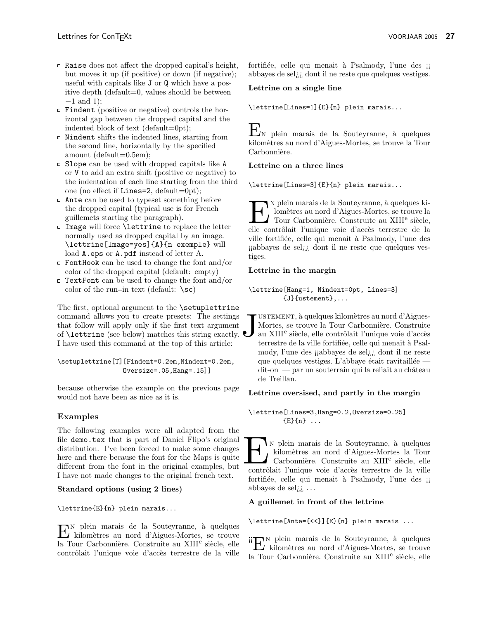- $\Box$  Raise does not affect the dropped capital's height, but moves it up (if positive) or down (if negative); useful with capitals like J or Q which have a positive depth (default=0, values should be between −1 and 1);
- $\Box$  Findent (positive or negative) controls the horizontal gap between the dropped capital and the indented block of text (default=0pt);
- $\Box$  Nindent shifts the indented lines, starting from the second line, horizontally by the specified amount (default=0.5em);
- $\square$  Slope can be used with dropped capitals like A or V to add an extra shift (positive or negative) to the indentation of each line starting from the third one (no effect if Lines=2, default=0pt);
- Ante can be used to typeset something before the dropped capital (typical use is for French guillemets starting the paragraph).
- $\Box$  Image will force **\lettrine** to replace the letter normally used as dropped capital by an image. \lettrine[Image=yes]{A}{n exemple} will load **A**.eps or **A**.pdf instead of letter A.
- $\Box$  FontHook can be used to change the font and/or color of the dropped capital (default: empty)
- $\Box$  TextFont can be used to change the font and/or color of the run-in text (default:  $\succeq$ sc)

The first, optional argument to the **\setuplettrine** command allows you to create presets: The settings that follow will apply only if the first text argument of \lettrine (see below) matches this string exactly. I have used this command at the top of this article:

\setuplettrine[T][Findent=0.2em,Nindent=0.2em, Oversize=.05,Hang=.15]]

because otherwise the example on the previous page would not have been as nice as it is.

# Examples

The following examples were all adapted from the file demo.tex that is part of Daniel Flipo's original distribution. I've been forced to make some changes here and there because the font for the Maps is quite different from the font in the original examples, but I have not made changes to the original french text.

## Standard options (using 2 lines)

\lettrine{E}{n} plein marais...

 $\mathbf{E}^\text{N}$ plein marais de la Souteyranne, à quelques kilomètres au nord d'Aigues-Mortes, se trouve kilom`etres au nord d'Aigues-Mortes, se trouve la Tour Carbonnière. Construite au XIII<sup>e</sup> siècle, elle contrôlait l'unique voie d'accès terrestre de la ville fortifiée, celle qui menait à Psalmody, l'une des ¡¡ abbayes de sel¿¿ dont il ne reste que quelques vestiges.

# Lettrine on a single line

\lettrine[Lines=1]{E}{n} plein marais...

 $E_{\text{N}}$  plein marais de la Souteyranne, à quelques kilomètres au nord d'Aigues-Mortes, se trouve la Tour Carbonnière.

# Lettrine on a three lines

\lettrine[Lines=3]{E}{n} plein marais...

El N plein marais de la Souteyranne, à quelques ki-lomètres au nord d'Aigues-Mortes, se trouve la Tour Carbonnière. Construite au XIII<sup>e</sup> siècle, elle contrôlait l'unique voie d'accès terrestre de la N plein marais de la Souteyranne, à quelques kilomètres au nord d'Aigues-Mortes, se trouve la Tour Carbonnière. Construite au XIII<sup>e</sup> siècle, ville fortifiée, celle qui menait à Psalmody, l'une des ¡¡abbayes de sel¿¿ dont il ne reste que quelques vestiges.

# Lettrine in the margin

# \lettrine[Hang=1, Nindent=0pt, Lines=3] {J}{ustement},...

 $\boldsymbol{\mathsf{U}}$ USTEMENT, à quelques kilomètres au nord d'Aigues-Mortes, se trouve la Tour Carbonnière. Construite au XIII<sup>e</sup> siècle, elle contrôlait l'unique voie d'accès terrestre de la ville fortifiée, celle qui menait à Psalmody, l'une des ¡¡abbayes de sel¿¿ dont il ne reste que quelques vestiges. L'abbaye était ravitaillée  $\mathrm{dit}\text{-}\mathrm{on}\,$  — par un souterrain qui la reliait au château de Treillan.

## Lettrine oversised, and partly in the margin

## \lettrine[Lines=3,Hang=0.2,Oversize=0.25]  ${E}{n}$  ...

EN Pein marais de la Souteyranne, à quelques kilomètres au nord d'Aigues-Mortes la Tour Carbonnière. Construite au XIII<sup>e</sup> siècle, elle contrôlait l'unique voie d'accès terrestre de la ville In plein marais de la Souteyranne, à quelques kilom`etres au nord d'Aigues-Mortes la Tour Carbonnière. Construite au XIII<sup>e</sup> siècle, elle fortifiée, celle qui menait à Psalmody, l'une des ¡¡ abbayes de sel $\lambda$ <sub>i</sub> ...

## A guillemet in front of the lettrine

# \lettrine[Ante={<<}]{E}{n} plein marais ...

 $\rm{ii}\sum$ plein marais de la Souteyranne, à quelques libres is trouve kilom`etres au nord d'Aigues-Mortes, se trouve la Tour Carbonnière. Construite au XIII<sup>e</sup> siècle, elle